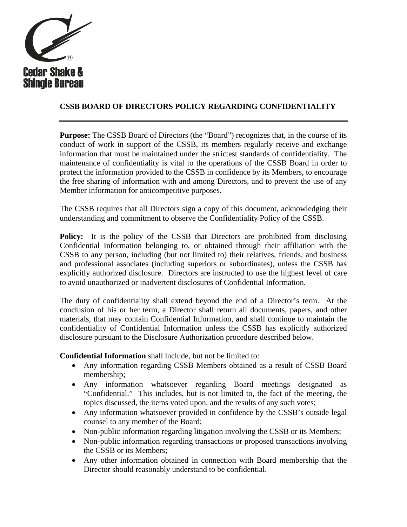

## **CSSB BOARD OF DIRECTORS POLICY REGARDING CONFIDENTIALITY**

**Purpose:** The CSSB Board of Directors (the "Board") recognizes that, in the course of its conduct of work in support of the CSSB, its members regularly receive and exchange information that must be maintained under the strictest standards of confidentiality. The maintenance of confidentiality is vital to the operations of the CSSB Board in order to protect the information provided to the CSSB in confidence by its Members, to encourage the free sharing of information with and among Directors, and to prevent the use of any Member information for anticompetitive purposes.

The CSSB requires that all Directors sign a copy of this document, acknowledging their understanding and commitment to observe the Confidentiality Policy of the CSSB.

**Policy:** It is the policy of the CSSB that Directors are prohibited from disclosing Confidential Information belonging to, or obtained through their affiliation with the CSSB to any person, including (but not limited to) their relatives, friends, and business and professional associates (including superiors or subordinates), unless the CSSB has explicitly authorized disclosure. Directors are instructed to use the highest level of care to avoid unauthorized or inadvertent disclosures of Confidential Information.

The duty of confidentiality shall extend beyond the end of a Director's term. At the conclusion of his or her term, a Director shall return all documents, papers, and other materials, that may contain Confidential Information, and shall continue to maintain the confidentiality of Confidential Information unless the CSSB has explicitly authorized disclosure pursuant to the Disclosure Authorization procedure described below.

**Confidential Information** shall include, but not be limited to:

- Any information regarding CSSB Members obtained as a result of CSSB Board membership;
- Any information whatsoever regarding Board meetings designated as "Confidential." This includes, but is not limited to, the fact of the meeting, the topics discussed, the items voted upon, and the results of any such votes;
- Any information whatsoever provided in confidence by the CSSB's outside legal counsel to any member of the Board;
- Non-public information regarding litigation involving the CSSB or its Members;
- Non-public information regarding transactions or proposed transactions involving the CSSB or its Members;
- Any other information obtained in connection with Board membership that the Director should reasonably understand to be confidential.